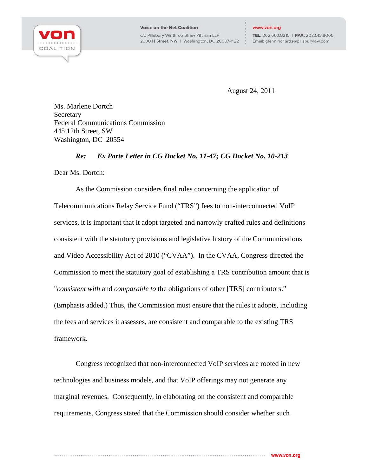

TEL: 202.663.8215 | FAX: 202.513.8006 Email: glenn.richards@pillsburylaw.com

August 24, 2011

Ms. Marlene Dortch Secretary Federal Communications Commission 445 12th Street, SW Washington, DC 20554

## *Re: Ex Parte Letter in CG Docket No. 11-47; CG Docket No. 10-213*

Dear Ms. Dortch:

As the Commission considers final rules concerning the application of Telecommunications Relay Service Fund ("TRS") fees to non-interconnected VoIP services, it is important that it adopt targeted and narrowly crafted rules and definitions consistent with the statutory provisions and legislative history of the Communications and Video Accessibility Act of 2010 ("CVAA"). In the CVAA, Congress directed the Commission to meet the statutory goal of establishing a TRS contribution amount that is "*consistent with* and *comparable to* the obligations of other [TRS] contributors." (Emphasis added.) Thus, the Commission must ensure that the rules it adopts, including the fees and services it assesses, are consistent and comparable to the existing TRS framework.

Congress recognized that non-interconnected VoIP services are rooted in new technologies and business models, and that VoIP offerings may not generate any marginal revenues. Consequently, in elaborating on the consistent and comparable requirements, Congress stated that the Commission should consider whether such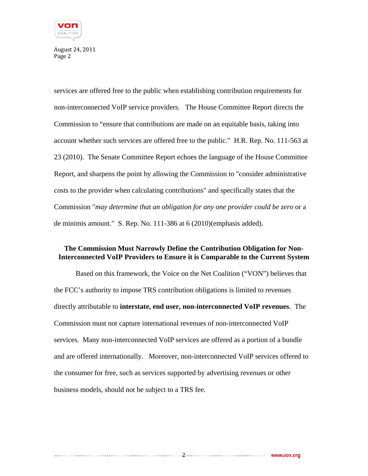

services are offered free to the public when establishing contribution requirements for non-interconnected VoIP service providers. The House Committee Report directs the Commission to "ensure that contributions are made on an equitable basis, taking into account whether such services are offered free to the public." H.R. Rep. No. 111-563 at 23 (2010).The Senate Committee Report echoes the language of the House Committee Report, and sharpens the point by allowing the Commission to "consider administrative costs to the provider when calculating contributions" and specifically states that the Commission "*may determine that an obligation for any one provider could be zero* or a de minimis amount." S. Rep. No. 111-386 at 6 (2010)(emphasis added).

## **The Commission Must Narrowly Define the Contribution Obligation for Non-Interconnected VoIP Providers to Ensure it is Comparable to the Current System**

Based on this framework, the Voice on the Net Coalition ("VON") believes that the FCC's authority to impose TRS contribution obligations is limited to revenues directly attributable to **interstate, end user, non-interconnected VoIP revenues**. The Commission must not capture international revenues of non-interconnected VoIP services. Many non-interconnected VoIP services are offered as a portion of a bundle and are offered internationally. Moreover, non-interconnected VoIP services offered to the consumer for free, such as services supported by advertising revenues or other business models, should not be subject to a TRS fee.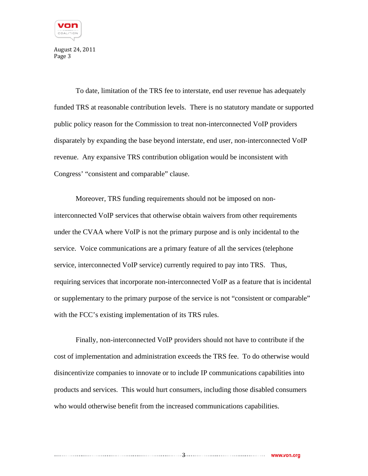

To date, limitation of the TRS fee to interstate, end user revenue has adequately funded TRS at reasonable contribution levels. There is no statutory mandate or supported public policy reason for the Commission to treat non-interconnected VoIP providers disparately by expanding the base beyond interstate, end user, non-interconnected VoIP revenue. Any expansive TRS contribution obligation would be inconsistent with Congress' "consistent and comparable" clause.

Moreover, TRS funding requirements should not be imposed on noninterconnected VoIP services that otherwise obtain waivers from other requirements under the CVAA where VoIP is not the primary purpose and is only incidental to the service. Voice communications are a primary feature of all the services (telephone service, interconnected VoIP service) currently required to pay into TRS. Thus, requiring services that incorporate non-interconnected VoIP as a feature that is incidental or supplementary to the primary purpose of the service is not "consistent or comparable" with the FCC's existing implementation of its TRS rules.

Finally, non-interconnected VoIP providers should not have to contribute if the cost of implementation and administration exceeds the TRS fee. To do otherwise would disincentivize companies to innovate or to include IP communications capabilities into products and services. This would hurt consumers, including those disabled consumers who would otherwise benefit from the increased communications capabilities.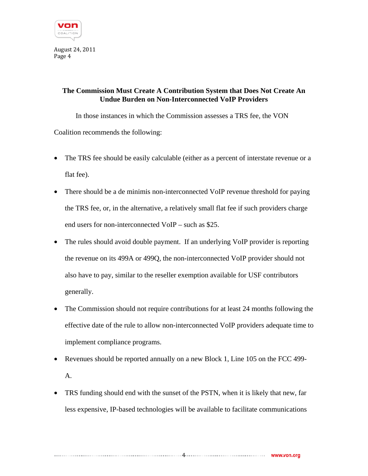

## **The Commission Must Create A Contribution System that Does Not Create An Undue Burden on Non-Interconnected VoIP Providers**

In those instances in which the Commission assesses a TRS fee, the VON Coalition recommends the following:

- The TRS fee should be easily calculable (either as a percent of interstate revenue or a flat fee).
- There should be a de minimis non-interconnected VoIP revenue threshold for paying the TRS fee, or, in the alternative, a relatively small flat fee if such providers charge end users for non-interconnected VoIP – such as \$25.
- The rules should avoid double payment. If an underlying VoIP provider is reporting the revenue on its 499A or 499Q, the non-interconnected VoIP provider should not also have to pay, similar to the reseller exemption available for USF contributors generally.
- The Commission should not require contributions for at least 24 months following the effective date of the rule to allow non-interconnected VoIP providers adequate time to implement compliance programs.
- Revenues should be reported annually on a new Block 1, Line 105 on the FCC 499-A.
- TRS funding should end with the sunset of the PSTN, when it is likely that new, far less expensive, IP-based technologies will be available to facilitate communications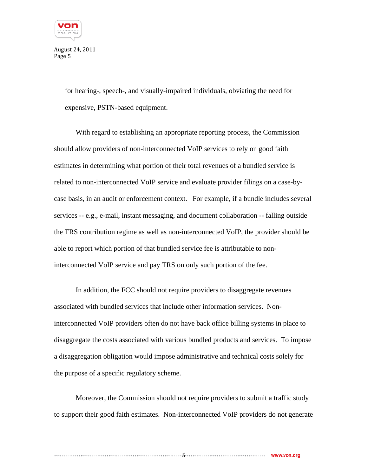

> for hearing-, speech-, and visually-impaired individuals, obviating the need for expensive, PSTN-based equipment.

With regard to establishing an appropriate reporting process, the Commission should allow providers of non-interconnected VoIP services to rely on good faith estimates in determining what portion of their total revenues of a bundled service is related to non-interconnected VoIP service and evaluate provider filings on a case-bycase basis, in an audit or enforcement context. For example, if a bundle includes several services -- e.g., e-mail, instant messaging, and document collaboration -- falling outside the TRS contribution regime as well as non-interconnected VoIP, the provider should be able to report which portion of that bundled service fee is attributable to noninterconnected VoIP service and pay TRS on only such portion of the fee.

In addition, the FCC should not require providers to disaggregate revenues associated with bundled services that include other information services. Noninterconnected VoIP providers often do not have back office billing systems in place to disaggregate the costs associated with various bundled products and services. To impose a disaggregation obligation would impose administrative and technical costs solely for the purpose of a specific regulatory scheme.

Moreover, the Commission should not require providers to submit a traffic study to support their good faith estimates. Non-interconnected VoIP providers do not generate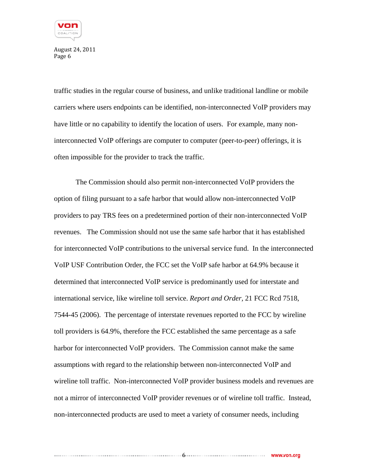

traffic studies in the regular course of business, and unlike traditional landline or mobile carriers where users endpoints can be identified, non-interconnected VoIP providers may have little or no capability to identify the location of users. For example, many noninterconnected VoIP offerings are computer to computer (peer-to-peer) offerings, it is often impossible for the provider to track the traffic.

The Commission should also permit non-interconnected VoIP providers the option of filing pursuant to a safe harbor that would allow non-interconnected VoIP providers to pay TRS fees on a predetermined portion of their non-interconnected VoIP revenues. The Commission should not use the same safe harbor that it has established for interconnected VoIP contributions to the universal service fund. In the interconnected VoIP USF Contribution Order, the FCC set the VoIP safe harbor at 64.9% because it determined that interconnected VoIP service is predominantly used for interstate and international service, like wireline toll service. *Report and Order,* 21 FCC Rcd 7518, 7544-45 (2006). The percentage of interstate revenues reported to the FCC by wireline toll providers is 64.9%, therefore the FCC established the same percentage as a safe harbor for interconnected VoIP providers. The Commission cannot make the same assumptions with regard to the relationship between non-interconnected VoIP and wireline toll traffic. Non-interconnected VoIP provider business models and revenues are not a mirror of interconnected VoIP provider revenues or of wireline toll traffic. Instead, non-interconnected products are used to meet a variety of consumer needs, including